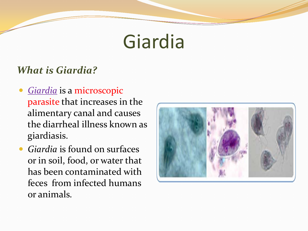# Giardia

#### *What is Giardia?*

- **•** Giardia is a microscopic parasite that increases in the alimentary canal and causes the diarrheal illness known as giardiasis.
- *Giardia* is found on surfaces or in soil, food, or water that has been contaminated with feces from infected humans or animals.

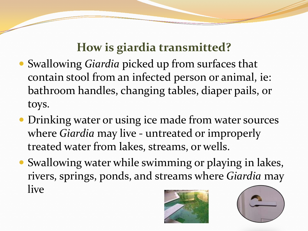## **How is giardia transmitted?**

- Swallowing *Giardia* picked up from surfaces that contain stool from an infected person or animal, ie: bathroom handles, changing tables, diaper pails, or toys.
- Drinking water or using ice made from water sources where *Giardia* may live - untreated or improperly treated water from lakes, streams, or wells.
- Swallowing water while swimming or playing in lakes, rivers, springs, ponds, and streams where *Giardia* may live



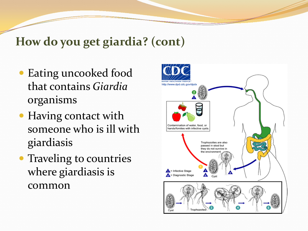### **How do you get giardia? (cont)**

- Eating uncooked food that contains *Giardia* organisms
- Having contact with someone who is ill with giardiasis
- Traveling to countries where giardiasis is common

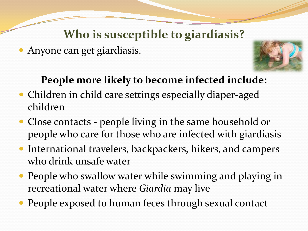## **Who is susceptible to giardiasis?**

Anyone can get giardiasis.



#### **People more likely to become infected include:**

- Children in child care settings especially diaper-aged children
- Close contacts people living in the same household or people who care for those who are infected with giardiasis
- International travelers, backpackers, hikers, and campers who drink unsafe water
- People who swallow water while swimming and playing in recreational water where *Giardia* may live
- People exposed to human feces through sexual contact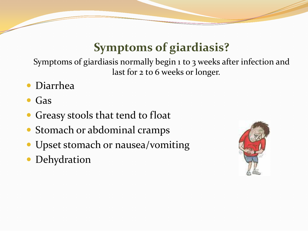## **Symptoms of giardiasis?**

Symptoms of giardiasis normally begin 1 to 3 weeks after infection and last for 2 to 6 weeks or longer.

- Diarrhea
- Gas
- Greasy stools that tend to float
- Stomach or abdominal cramps
- Upset stomach or nausea/vomiting
- Dehydration

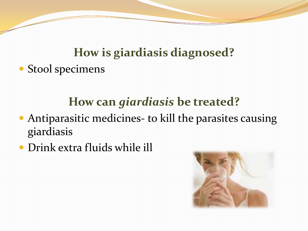## **How is giardiasis diagnosed?** • Stool specimens

## **How can** *giardiasis* **be treated?**

- Antiparasitic medicines- to kill the parasites causing giardiasis
- Drink extra fluids while ill